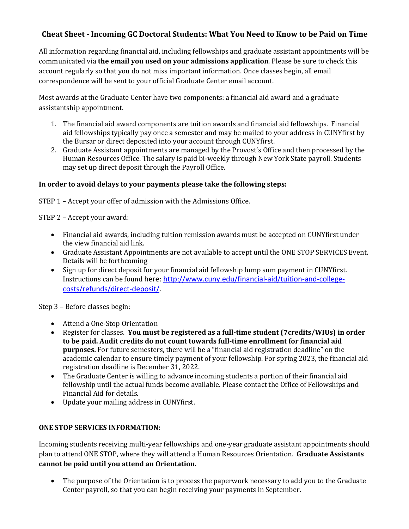## **Cheat Sheet - Incoming GC Doctoral Students: What You Need to Know to be Paid on Time**

All information regarding financial aid, including fellowships and graduate assistant appointments will be communicated via **the email you used on your admissions application**. Please be sure to check this account regularly so that you do not miss important information. Once classes begin, all email correspondence will be sent to your official Graduate Center email account.

Most awards at the Graduate Center have two components: a financial aid award and a graduate assistantship appointment.

- 1. The financial aid award components are tuition awards and financial aid fellowships. Financial aid fellowships typically pay once a semester and may be mailed to your address in CUNYfirst by the Bursar or direct deposited into your account through CUNYfirst.
- 2. Graduate Assistant appointments are managed by the Provost's Office and then processed by the Human Resources Office. The salary is paid bi-weekly through New York State payroll. Students may set up direct deposit through the Payroll Office.

## In order to avoid delays to your payments please take the following steps:

STEP  $1$  – Accept your offer of admission with the Admissions Office.

STEP 2 - Accept your award:

- Financial aid awards, including tuition remission awards must be accepted on CUNYfirst under the view financial aid link.
- Graduate Assistant Appointments are not available to accept until the ONE STOP SERVICES Event. Details will be forthcoming
- Sign up for direct deposit for your financial aid fellowship lump sum payment in CUNYfirst. Instructions can be found here: http://www.cuny.edu/financial-aid/tuition-and-collegecosts/refunds/direct-deposit/.

Step 3 - Before classes begin:

- Attend a One-Stop Orientation
- Register for classes. You must be registered as a full-time student (7credits/WIUs) in order to be paid. Audit credits do not count towards full-time enrollment for financial aid **purposes.** For future semesters, there will be a "financial aid registration deadline" on the academic calendar to ensure timely payment of your fellowship. For spring 2023, the financial aid registration deadline is December 31, 2022.
- The Graduate Center is willing to advance incoming students a portion of their financial aid fellowship until the actual funds become available. Please contact the Office of Fellowships and Financial Aid for details.
- Update your mailing address in CUNYfirst.

## **ONE STOP SERVICES INFORMATION:**

Incoming students receiving multi-year fellowships and one-year graduate assistant appointments should plan to attend ONE STOP, where they will attend a Human Resources Orientation. Graduate Assistants cannot be paid until you attend an Orientation.

• The purpose of the Orientation is to process the paperwork necessary to add you to the Graduate Center payroll, so that you can begin receiving your payments in September.